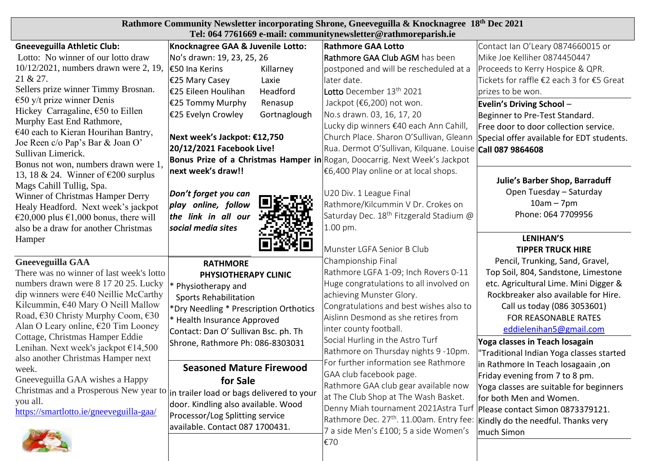| Rathmore Community Newsletter incorporating Shrone, Gneeveguilla & Knocknagree 18th Dec 2021<br>Tel: 064 7761669 e-mail: communitynewsletter@rathmoreparish.ie |                                           |                                                                                                                                 |                                           |  |  |  |  |  |  |
|----------------------------------------------------------------------------------------------------------------------------------------------------------------|-------------------------------------------|---------------------------------------------------------------------------------------------------------------------------------|-------------------------------------------|--|--|--|--|--|--|
| <b>Gneeveguilla Athletic Club:</b>                                                                                                                             | Knocknagree GAA & Juvenile Lotto:         | <b>Rathmore GAA Lotto</b>                                                                                                       | Contact Ian O'Leary 0874660015 or         |  |  |  |  |  |  |
| Lotto: No winner of our lotto draw                                                                                                                             | No's drawn: 19, 23, 25, 26                | Rathmore GAA Club AGM has been                                                                                                  | Mike Joe Kelliher 0874450447              |  |  |  |  |  |  |
| 10/12/2021, numbers drawn were 2, 19,                                                                                                                          | €50 Ina Kerins<br>Killarney               | postponed and will be rescheduled at a                                                                                          | Proceeds to Kerry Hospice & QPR.          |  |  |  |  |  |  |
| 21 & 27.                                                                                                                                                       | $€25$ Mary Casey<br>Laxie                 | later date.                                                                                                                     | Tickets for raffle €2 each 3 for €5 Great |  |  |  |  |  |  |
| Sellers prize winner Timmy Brosnan.                                                                                                                            | E25 Eileen Houlihan<br>Headford           | <b>Lotto</b> December 13 <sup>th</sup> 2021                                                                                     | prizes to be won.                         |  |  |  |  |  |  |
| $\epsilon$ 50 y/t prize winner Denis                                                                                                                           | E25 Tommy Murphy<br>Renasup               | Jackpot (€6,200) not won.                                                                                                       | <b>Evelin's Driving School -</b>          |  |  |  |  |  |  |
| Hickey Carragaline, $\epsilon$ 50 to Eillen                                                                                                                    | €25 Evelyn Crowley<br>Gortnaglough        | No.s drawn. 03, 16, 17, 20                                                                                                      | Beginner to Pre-Test Standard.            |  |  |  |  |  |  |
| Murphy East End Rathmore,                                                                                                                                      |                                           | Lucky dip winners €40 each Ann Cahill,                                                                                          | Free door to door collection service.     |  |  |  |  |  |  |
| €40 each to Kieran Hourihan Bantry,                                                                                                                            | Next week's Jackpot: €12,750              | Church Place. Sharon O'Sullivan, Gleann                                                                                         | Special offer available for EDT students. |  |  |  |  |  |  |
| Joe Reen c/o Pap's Bar & Joan O'<br>Sullivan Limerick.                                                                                                         | 20/12/2021 Facebook Live!                 | Rua. Dermot O'Sullivan, Kilquane. Louise Call 087 9864608                                                                       |                                           |  |  |  |  |  |  |
| Bonus not won, numbers drawn were 1,                                                                                                                           |                                           | <b>Bonus Prize of a Christmas Hamper in</b> Rogan, Doocarrig. Next Week's Jackpot                                               |                                           |  |  |  |  |  |  |
| 13, 18 & 24. Winner of $\epsilon$ 200 surplus                                                                                                                  | next week's draw!!                        | €6,400 Play online or at local shops.                                                                                           |                                           |  |  |  |  |  |  |
| Mags Cahill Tullig, Spa.                                                                                                                                       |                                           |                                                                                                                                 | <b>Julie's Barber Shop, Barraduff</b>     |  |  |  |  |  |  |
| Winner of Christmas Hamper Derry                                                                                                                               | Don't forget you can                      | U20 Div. 1 League Final                                                                                                         | Open Tuesday - Saturday                   |  |  |  |  |  |  |
| Healy Headford. Next week's jackpot                                                                                                                            | play online, follow                       | Rathmore/Kilcummin V Dr. Crokes on                                                                                              | $10am - 7pm$                              |  |  |  |  |  |  |
| €20,000 plus €1,000 bonus, there will                                                                                                                          | the link in all our                       | Saturday Dec. 18 <sup>th</sup> Fitzgerald Stadium @                                                                             | Phone: 064 7709956                        |  |  |  |  |  |  |
| also be a draw for another Christmas                                                                                                                           | social media sites                        | 1.00 pm.                                                                                                                        |                                           |  |  |  |  |  |  |
| Hamper                                                                                                                                                         |                                           |                                                                                                                                 | <b>LENIHAN'S</b>                          |  |  |  |  |  |  |
|                                                                                                                                                                |                                           | Munster LGFA Senior B Club                                                                                                      | <b>TIPPER TRUCK HIRE</b>                  |  |  |  |  |  |  |
| <b>Gneeveguilla GAA</b>                                                                                                                                        | <b>RATHMORE</b>                           | Championship Final                                                                                                              | Pencil, Trunking, Sand, Gravel,           |  |  |  |  |  |  |
| There was no winner of last week's lotto                                                                                                                       | PHYSIOTHERAPY CLINIC                      | Rathmore LGFA 1-09; Inch Rovers 0-11                                                                                            | Top Soil, 804, Sandstone, Limestone       |  |  |  |  |  |  |
| numbers drawn were 8 17 20 25. Lucky                                                                                                                           | Physiotherapy and                         | Huge congratulations to all involved on                                                                                         | etc. Agricultural Lime. Mini Digger &     |  |  |  |  |  |  |
| dip winners were $\epsilon$ 40 Neillie McCarthy                                                                                                                | <b>Sports Rehabilitation</b>              | achieving Munster Glory.                                                                                                        | Rockbreaker also available for Hire.      |  |  |  |  |  |  |
| Kilcummin, €40 Mary O Neill Mallow                                                                                                                             | *Dry Needling * Prescription Orthotics    | Congratulations and best wishes also to                                                                                         | Call us today (086 3053601)               |  |  |  |  |  |  |
| Road, €30 Christy Murphy Coom, €30<br>Alan O Leary online, €20 Tim Looney                                                                                      | * Health Insurance Approved               | Aislinn Desmond as she retires from                                                                                             | FOR REASONABLE RATES                      |  |  |  |  |  |  |
| Cottage, Christmas Hamper Eddie                                                                                                                                | Contact: Dan O' Sullivan Bsc. ph. Th      | inter county football.                                                                                                          | eddielenihan5@gmail.com                   |  |  |  |  |  |  |
| Lenihan. Next week's jackpot $£14,500$                                                                                                                         | Shrone, Rathmore Ph: 086-8303031          | Social Hurling in the Astro Turf                                                                                                | Yoga classes in Teach losagain            |  |  |  |  |  |  |
| also another Christmas Hamper next                                                                                                                             |                                           | Rathmore on Thursday nights 9 -10pm.                                                                                            | "Traditional Indian Yoga classes started  |  |  |  |  |  |  |
| week.                                                                                                                                                          | <b>Seasoned Mature Firewood</b>           | For further information see Rathmore                                                                                            | in Rathmore In Teach losagaain, on        |  |  |  |  |  |  |
| Gneeveguilla GAA wishes a Happy                                                                                                                                | for Sale                                  | GAA club facebook page.                                                                                                         | Friday evening from 7 to 8 pm.            |  |  |  |  |  |  |
| Christmas and a Prosperous New year to                                                                                                                         | in trailer load or bags delivered to your | Rathmore GAA club gear available now                                                                                            | Yoga classes are suitable for beginners   |  |  |  |  |  |  |
| you all.                                                                                                                                                       | door. Kindling also available. Wood       | at The Club Shop at The Wash Basket.                                                                                            | for both Men and Women.                   |  |  |  |  |  |  |
| https://smartlotto.ie/gneeveguilla-gaa/                                                                                                                        | Processor/Log Splitting service           | Denny Miah tournament 2021Astra Turf   Please contact Simon 0873379121.<br>Rathmore Dec. 27 <sup>th</sup> . 11.00am. Entry fee: |                                           |  |  |  |  |  |  |
|                                                                                                                                                                | available. Contact 087 1700431.           |                                                                                                                                 | Kindly do the needful. Thanks very        |  |  |  |  |  |  |
|                                                                                                                                                                |                                           | 7 a side Men's £100; 5 a side Women's                                                                                           | much Simon                                |  |  |  |  |  |  |
|                                                                                                                                                                |                                           | €70                                                                                                                             |                                           |  |  |  |  |  |  |